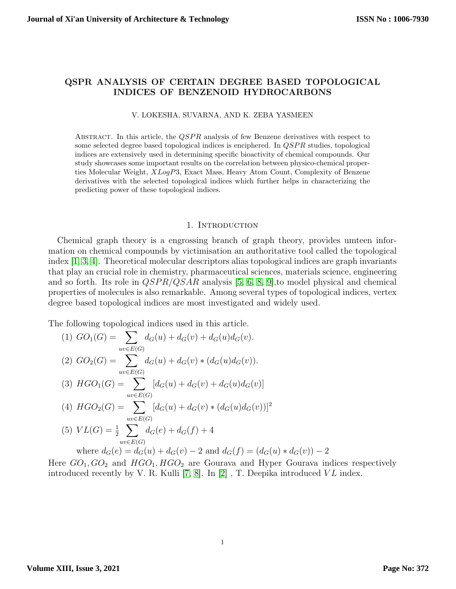# QSPR ANALYSIS OF CERTAIN DEGREE BASED TOPOLOGICAL INDICES OF BENZENOID HYDROCARBONS

#### V. LOKESHA, SUVARNA, AND K. ZEBA YASMEEN

ABSTRACT. In this article, the  $QSPR$  analysis of few Benzene derivatives with respect to some selected degree based topological indices is enciphered. In  $QSPR$  studies, topological indices are extensively used in determining specific bioactivity of chemical compounds. Our study showcases some important results on the correlation between physico-chemical properties Molecular Weight, XLogP3, Exact Mass, Heavy Atom Count, Complexity of Benzene derivatives with the selected topological indices which further helps in characterizing the predicting power of these topological indices.

### 1. INTRODUCTION

Chemical graph theory is a engrossing branch of graph theory, provides umteen information on chemical compounds by victimisation an authoritative tool called the topological index [\[1,](#page-7-0) [3,](#page-7-1) [4\]](#page-7-2). Theoretical molecular descriptors alias topological indices are graph invariants that play an crucial role in chemistry, pharmaceutical sciences, materials science, engineering and so forth. Its role in  $QSPR/QSAR$  analysis [\[5,](#page-7-3) [6,](#page-7-4) [8,](#page-7-5) [9\]](#page-7-6), to model physical and chemical properties of molecules is also remarkable. Among several types of topological indices, vertex degree based topological indices are most investigated and widely used.

The following topological indices used in this article.

(1) 
$$
GO_{1}(G) = \sum_{uv \in E(G)} d_{G}(u) + d_{G}(v) + d_{G}(u)d_{G}(v).
$$
  
\n(2) 
$$
GO_{2}(G) = \sum_{uv \in E(G)} d_{G}(u) + d_{G}(v) * (d_{G}(u)d_{G}(v)).
$$
  
\n(3) 
$$
HGO_{1}(G) = \sum_{uv \in E(G)} [d_{G}(u) + d_{G}(v) + d_{G}(u)d_{G}(v)]
$$
  
\n(4) 
$$
HGO_{2}(G) = \sum_{uv \in E(G)} [d_{G}(u) + d_{G}(v) * (d_{G}(u)d_{G}(v))]^{2}
$$
  
\n(5) 
$$
VL(G) = \frac{1}{2} \sum_{uv \in E(G)} d_{G}(e) + d_{G}(f) + 4
$$
  
\nwhere 
$$
d_{G}(e) = d_{G}(u) + d_{G}(v) - 2
$$
 and 
$$
d_{G}(f) = (d_{G}(u) * d_{G}(v)) - 2
$$
  
\nre 
$$
GO_{2} \cap GO_{2} \text{ and } HGO_{2} \cap HGO_{2} \text{ are Gourava and HVper Gourava indices.}
$$

Here  $GO_1, GO_2$  and  $HGO_1, HGO_2$  are Gourava and Hyper Gourava indices respectively introduced recently by V. R. Kulli [\[7,](#page-7-7) [8\]](#page-7-5). In [\[2\]](#page-7-8), T. Deepika introduced  $VL$  index.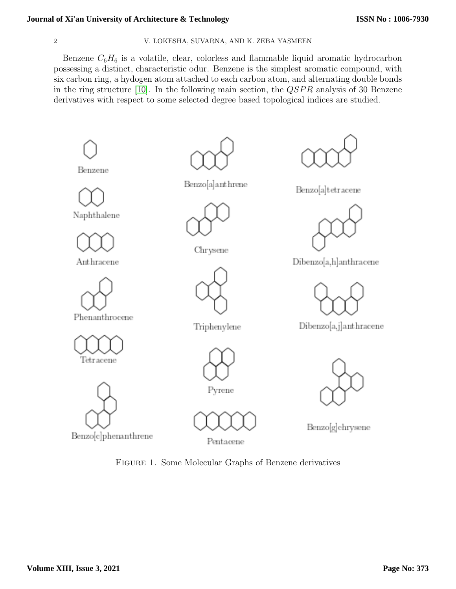# **Journal of Xi'an University of Architecture & Technology**

## 2 V. LOKESHA, SUVARNA, AND K. ZEBA YASMEEN

Benzene  $C_6H_6$  is a volatile, clear, colorless and flammable liquid aromatic hydrocarbon possessing a distinct, characteristic odur. Benzene is the simplest aromatic compound, with six carbon ring, a hydogen atom attached to each carbon atom, and alternating double bonds in the ring structure [\[10\]](#page-7-9). In the following main section, the  $QSPR$  analysis of 30 Benzene derivatives with respect to some selected degree based topological indices are studied.



Benzo[c]phenanthrene



Figure 1. Some Molecular Graphs of Benzene derivatives

Dibenzo[a,h]anthracene

Dibenzo[a,j]anthracene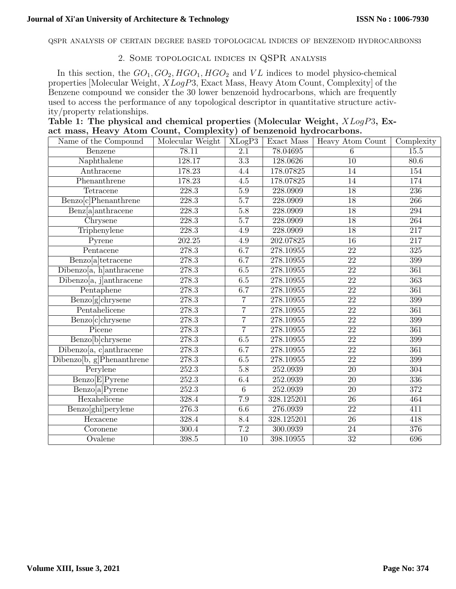QSPR ANALYSIS OF CERTAIN DEGREE BASED TOPOLOGICAL INDICES OF BENZENOID HYDROCARBONS3

# 2. Some topological indices in QSPR analysis

In this section, the  $GO_1, GO_2, HGO_1, HGO_2$  and  $VL$  indices to model physico-chemical properties [Molecular Weight, XLogP3, Exact Mass, Heavy Atom Count, Complexity] of the Benzene compound we consider the 30 lower benzenoid hydrocarbons, which are frequently used to access the performance of any topological descriptor in quantitative structure activity/property relationships.

| Table 1: The physical and chemical properties (Molecular Weight, XLogP3, Ex- |  |  |  |  |
|------------------------------------------------------------------------------|--|--|--|--|
| act mass, Heavy Atom Count, Complexity) of benzenoid hydrocarbons.           |  |  |  |  |

| Name of the Compound                                  | Molecular Weight   | $XLog\overline{P3}$ | Exact Mass | Heavy Atom Count | Complexity       |
|-------------------------------------------------------|--------------------|---------------------|------------|------------------|------------------|
| Benzene                                               | 78.11              | $\overline{2.1}$    | 78.04695   | 6                | 15.5             |
| Naphthalene                                           | 128.17             | $\overline{3.3}$    | 128.0626   | 10               | 80.6             |
| Anthracene                                            | 178.23             | 4.4                 | 178.07825  | 14               | 154              |
| Phenanthrene                                          | 178.23             | $\overline{4.5}$    | 178.07825  | $\overline{14}$  | 174              |
| Tetracene                                             | 228.3              | 5.9                 | 228.0909   | 18               | $\overline{236}$ |
| Benzo[c]Phenanthrene                                  | 228.3              | $\overline{5.7}$    | 228.0909   | 18               | $\overline{266}$ |
| Benz[a]anthracene                                     | 228.3              | $\overline{5.8}$    | 228.0909   | $\overline{18}$  | 294              |
| Chrysene                                              | 228.3              | $\overline{5.7}$    | 228.0909   | $\overline{18}$  | 264              |
| Triphenylene                                          | 228.3              | 4.9                 | 228.0909   | $\overline{18}$  | $\overline{217}$ |
| Pyrene                                                | 202.25             | $4.9\,$             | 202.07825  | $\overline{16}$  | $\overline{217}$ |
| Pentacene                                             | 278.3              | 6.7                 | 278.10955  | 22               | $\overline{325}$ |
| Benzo[a]tetracene                                     | 278.3              | 6.7                 | 278.10955  | $\overline{22}$  | $\overline{399}$ |
| Dibenzo[a, h]anthracene                               | 278.3              | 6.5                 | 278.10955  | $\overline{22}$  | 361              |
| Dibenzo[a, j]anthracene                               | 278.3              | 6.5                 | 278.10955  | $\overline{22}$  | $\overline{363}$ |
| Pentaphene                                            | 278.3              | 6.7                 | 278.10955  | $\overline{22}$  | 361              |
| Benzo[g]chrysene                                      | 278.3              | $\overline{7}$      | 278.10955  | $\overline{22}$  | 399              |
| Pentahelicene                                         | $\overline{278.3}$ | $\overline{7}$      | 278.10955  | $\overline{22}$  | 361              |
| Benzo[c]chrysene                                      | $\overline{278.3}$ | $\overline{7}$      | 278.10955  | $\overline{22}$  | 399              |
| Picene                                                | 278.3              | $\overline{7}$      | 278.10955  | $\overline{22}$  | 361              |
| Benzo[b]chrysene                                      | 278.3              | 6.5                 | 278.10955  | $\overline{22}$  | 399              |
| Dibenzo[a, c]anthracene                               | 278.3              | 6.7                 | 278.10955  | 22               | 361              |
| $\overline{\text{Dibenzo}[b, g] \text{Phenanthrene}}$ | $\overline{278.3}$ | 6.5                 | 278.10955  | $\overline{22}$  | $\overline{399}$ |
| Perylene                                              | $\overline{252.3}$ | $\overline{5.8}$    | 252.0939   | $\overline{20}$  | 304              |
| Benzo <sup>[E]</sup> Pyrene                           | $\overline{252.3}$ | 6.4                 | 252.0939   | $\overline{20}$  | $\overline{336}$ |
| Benzo[a]Pyrene                                        | $\overline{252.3}$ | $\overline{6}$      | 252.0939   | $\overline{20}$  | $\overline{372}$ |
| Hexahelicene                                          | 328.4              | $\overline{7.9}$    | 328.125201 | $\overline{26}$  | 464              |
| Benzo[ghi]perylene                                    | $\overline{276.3}$ | 6.6                 | 276.0939   | $\overline{22}$  | 411              |
| Hexacene                                              | 328.4              | 8.4                 | 328.125201 | $\overline{26}$  | 418              |
| $\overline{\mathrm{Co}}$ ronene                       | 300.4              | $\overline{7.2}$    | 300.0939   | $\overline{24}$  | 376              |
| Ovalene                                               | 398.5              | $\overline{10}$     | 398.10955  | $\overline{32}$  | 696              |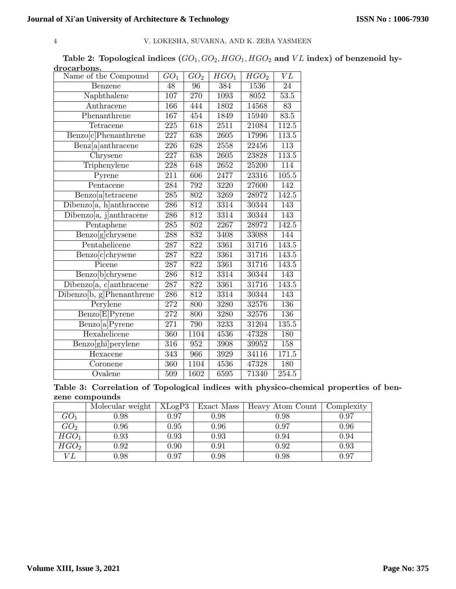## 4 V. LOKESHA, SUVARNA, AND K. ZEBA YASMEEN

Table 2: Topological indices  $(GO_1, GO_2, HGO_1, HGO_2$  and  $VL$  index) of benzenoid hydrocarbons.

| Name of the Compound          | $GO_1$           | GO <sub>2</sub>  | $HGO_1$           | HGO <sub>2</sub> | VL               |
|-------------------------------|------------------|------------------|-------------------|------------------|------------------|
| Benzene                       | 48               | 96               | 384               | 1536             | 24               |
| Naphthalene                   | 107              | 270              | 1093              | 8052             | $53.5\,$         |
| Anthracene                    | 166              | 444              | $\overline{1802}$ | 14568            | 83               |
| Phenanthrene                  | 167              | 454              | 1849              | 15940            | 83.5             |
| Tetracene                     | 225              | 618              | 2511              | 21084            | 112.5            |
| Benzo[c]Phenanthrene          | 227              | 638              | 2605              | 17996            | 113.5            |
| Benz[a]anthracene             | 226              | $\overline{628}$ | 2558              | 22456            | $\overline{113}$ |
| $\overline{\text{Chrysene}}$  | 227              | 638              | 2605              | 23828            | 113.5            |
| Triphenylene                  | $\overline{228}$ | 648              | 2652              | 25200            | 114              |
| Pyrene                        | 211              | 606              | 2477              | 23316            | 105.5            |
| Pentacene                     | 284              | 792              | 3220              | 27600            | 142              |
| Benzo[a]tetracene             | $\overline{285}$ | $\overline{802}$ | 3269              | 28972            | 142.5            |
| Dibenzo[a, h]anthracene       | 286              | 812              | 3314              | 30344            | 143              |
| Dibenzo[a, j]anthracene       | $\overline{286}$ | $\overline{812}$ | 3314              | 30344            | 143              |
| Pentaphene                    | 285              | 802              | 2267              | 28972            | 142.5            |
| Benzo[g]chrysene              | 288              | 832              | 3408              | 33088            | 144              |
| Pentahelicene                 | $\overline{287}$ | 822              | 3361              | 31716            | 143.5            |
| Benzo[c]chrysene              | 287              | 822              | 3361              | 31716            | 143.5            |
| Picene                        | 287              | $\overline{822}$ | 3361              | 31716            | 143.5            |
| Benzo <sup>[b]</sup> chrysene | 286              | 812              | 3314              | 30344            | 143              |
| Dibenzo[a, c]anthracene       | 287              | 822              | 3361              | 31716            | 143.5            |
| Dibenzo[b, g]Phenanthrene     | $\overline{286}$ | $\overline{812}$ | 3314              | 30344            | $\overline{143}$ |
| $\overline{\text{P}}$ erylene | $\overline{272}$ | 800              | 3280              | 32576            | 136              |
| Benzo[E]Pyrene                | $\overline{272}$ | 800              | 3280              | 32576            | 136              |
| Benzo[a]Pyrene                | 271              | 790              | 3233              | 31204            | 135.5            |
| Hexahelicene                  | 360              | 1104             | 4536              | 47328            | 180              |
| Benzo[ghi]perylene            | $\overline{316}$ | $\overline{952}$ | 3908              | 39952            | 158              |
| Hexacene                      | 343              | 966              | 3929              | 34116            | 171.5            |
| Coronene                      | 360              | 1104             | 4536              | 47328            | 180              |
| Ovalene                       | 509              | 1602             | 6595              | 71340            | 254.5            |
|                               |                  |                  |                   |                  |                  |

Table 3: Correlation of Topological indices with physico-chemical properties of benzene compounds

|                  | Molecular weight | XLogP3 | Exact Mass | Heavy Atom Count | Complexity |
|------------------|------------------|--------|------------|------------------|------------|
| $GO_1$           | 0.98             | 0.97   | 0.98       | 0.98             | 0.97       |
| GO <sub>2</sub>  | 0.96             | 0.95   | 0.96       | 0.97             | 0.96       |
| $HGO_1$          | 0.93             | 0.93   | 0.93       | 0.94             | 0.94       |
| HGO <sub>2</sub> | $0.92\,$         | 0.90   | 0.91       | 0.92             | 0.93       |
| $VL^-$           | 0.98             | 0.97   | 0.98       | 0.98             | 0.97       |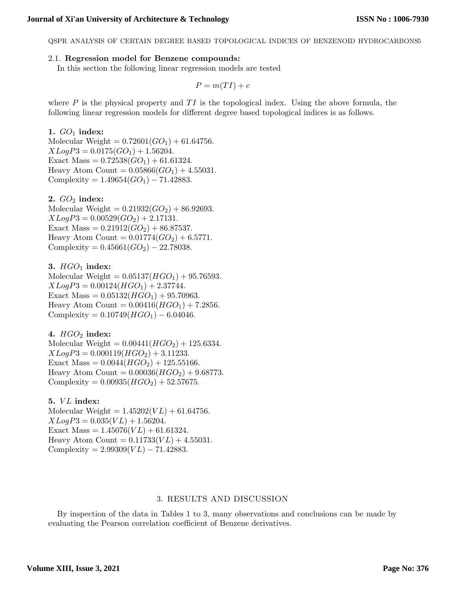QSPR ANALYSIS OF CERTAIN DEGREE BASED TOPOLOGICAL INDICES OF BENZENOID HYDROCARBONS5

## 2.1. Regression model for Benzene compounds:

In this section the following linear regression models are tested

$$
P = m(TI) + c
$$

where P is the physical property and  $TI$  is the topological index. Using the above formula, the following linear regression models for different degree based topological indices is as follows.

## 1.  $GO_1$  index:

Molecular Weight =  $0.72601(GO<sub>1</sub>) + 61.64756$ .  $XLogP3 = 0.0175(GO<sub>1</sub>) + 1.56204.$ Exact Mass =  $0.72538(GO<sub>1</sub>) + 61.61324$ . Heavy Atom Count =  $0.05866(GO<sub>1</sub>) + 4.55031$ . Complexity =  $1.49654(GO<sub>1</sub>) - 71.42883$ .

## 2.  $GO_2$  index:

Molecular Weight =  $0.21932(GO<sub>2</sub>) + 86.92693$ .  $XLogP3 = 0.00529(GO<sub>2</sub>) + 2.17131.$ Exact Mass =  $0.21912(GO<sub>2</sub>) + 86.87537$ . Heavy Atom Count =  $0.01774(GO<sub>2</sub>) + 6.5771$ . Complexity =  $0.45661(GO<sub>2</sub>) - 22.78038$ .

# 3.  $HGO_1$  index:

Molecular Weight  $= 0.05137(HGO_1) + 95.76593$ .  $XLogP3 = 0.00124(HGO<sub>1</sub>) + 2.37744.$ Exact Mass =  $0.05132(HGO<sub>1</sub>) + 95.70963$ . Heavy Atom Count =  $0.00416(HGO<sub>1</sub>) + 7.2856$ . Complexity =  $0.10749(HGO<sub>1</sub>) - 6.04046$ .

## 4.  $HGO<sub>2</sub>$  index:

Molecular Weight =  $0.00441(HGO<sub>2</sub>) + 125.6334$ .  $XLogP3 = 0.000119(HGO<sub>2</sub>) + 3.11233.$ Exact Mass =  $0.0044(HGO<sub>2</sub>) + 125.55166$ . Heavy Atom Count =  $0.00036(HGO_2) + 9.68773$ . Complexity =  $0.00935(HGO<sub>2</sub>) + 52.57675$ .

## 5.  $VL$  index:

Molecular Weight =  $1.45202(VL) + 61.64756$ .  $XLogP3 = 0.035(VL) + 1.56204.$ Exact Mass =  $1.45076(VL) + 61.61324$ . Heavy Atom Count =  $0.11733(VL) + 4.55031$ . Complexity =  $2.99309(VL) - 71.42883$ .

## 3. RESULTS AND DISCUSSION

By inspection of the data in Tables 1 to 3, many observations and conclusions can be made by evaluating the Pearson correlation coefficient of Benzene derivatives.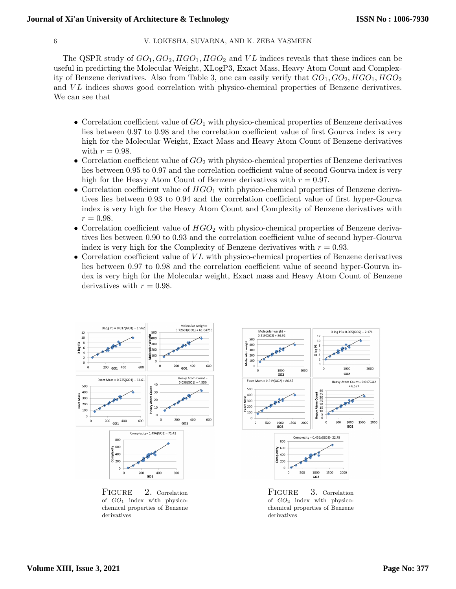### 6 V. LOKESHA, SUVARNA, AND K. ZEBA YASMEEN

The QSPR study of  $GO_1, GO_2, HGO_1, HGO_2$  and VL indices reveals that these indices can be useful in predicting the Molecular Weight, XLogP3, Exact Mass, Heavy Atom Count and Complexity of Benzene derivatives. Also from Table 3, one can easily verify that  $GO_1, GO_2, HGO_1, HGO_2$ and VL indices shows good correlation with physico-chemical properties of Benzene derivatives. We can see that

- Correlation coefficient value of  $GO<sub>1</sub>$  with physico-chemical properties of Benzene derivatives lies between 0.97 to 0.98 and the correlation coefficient value of first Gourva index is very high for the Molecular Weight, Exact Mass and Heavy Atom Count of Benzene derivatives with  $r = 0.98$ .
- Correlation coefficient value of  $GO<sub>2</sub>$  with physico-chemical properties of Benzene derivatives lies between 0.95 to 0.97 and the correlation coefficient value of second Gourva index is very high for the Heavy Atom Count of Benzene derivatives with  $r = 0.97$ .
- Correlation coefficient value of  $HGO<sub>1</sub>$  with physico-chemical properties of Benzene derivatives lies between 0.93 to 0.94 and the correlation coefficient value of first hyper-Gourva index is very high for the Heavy Atom Count and Complexity of Benzene derivatives with  $r = 0.98$ .
- Correlation coefficient value of  $HGO<sub>2</sub>$  with physico-chemical properties of Benzene derivatives lies between 0.90 to 0.93 and the correlation coefficient value of second hyper-Gourva index is very high for the Complexity of Benzene derivatives with  $r = 0.93$ .
- Correlation coefficient value of  $VL$  with physico-chemical properties of Benzene derivatives lies between 0.97 to 0.98 and the correlation coefficient value of second hyper-Gourva index is very high for the Molecular weight, Exact mass and Heavy Atom Count of Benzene derivatives with  $r = 0.98$ .



FIGURE 2. Correlation of  $GO_1$  index with physicochemical properties of Benzene derivatives



FIGURE 3. Correlation of  $GO_2$  index with physicochemical properties of Benzene derivatives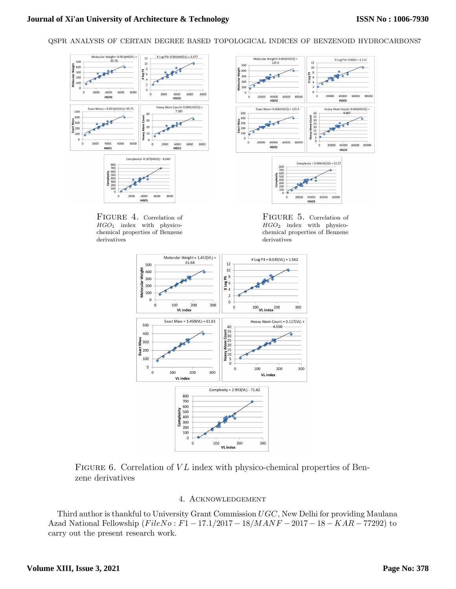## **Journal of Xi'an University of Architecture & Technology**

QSPR ANALYSIS OF CERTAIN DEGREE BASED TOPOLOGICAL INDICES OF BENZENOID HYDROCARBONS7







FIGURE 4. Correlation of  $HGO<sub>1</sub>$  index with physicochemical properties of Benzene derivatives

FIGURE 5. Correlation of HGO<sup>2</sup> index with physicochemical properties of Benzene derivatives



FIGURE 6. Correlation of  $VL$  index with physico-chemical properties of Benzene derivatives

## 4. Acknowledgement

Third author is thankful to University Grant Commission UGC, New Delhi for providing Maulana Azad National Fellowship  $(FileNo : F1 - 17.1/2017 - 18/MANF - 2017 - 18 - KAR - 77292)$  to carry out the present research work.